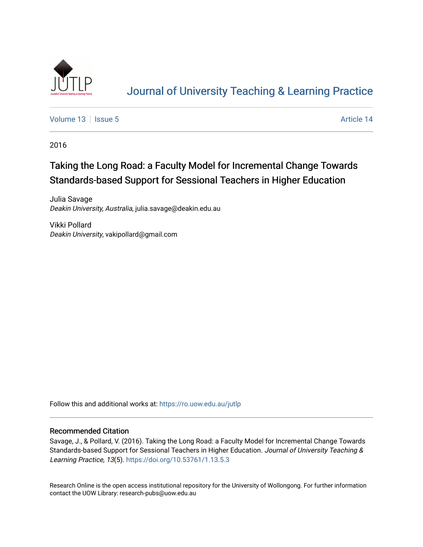

# [Journal of University Teaching & Learning Practice](https://ro.uow.edu.au/jutlp)

[Volume 13](https://ro.uow.edu.au/jutlp/vol13) | [Issue 5](https://ro.uow.edu.au/jutlp/vol13/iss5) Article 14

2016

# Taking the Long Road: a Faculty Model for Incremental Change Towards Standards-based Support for Sessional Teachers in Higher Education

Julia Savage Deakin University, Australia, julia.savage@deakin.edu.au

Vikki Pollard Deakin University, vakipollard@gmail.com

Follow this and additional works at: [https://ro.uow.edu.au/jutlp](https://ro.uow.edu.au/jutlp?utm_source=ro.uow.edu.au%2Fjutlp%2Fvol13%2Fiss5%2F14&utm_medium=PDF&utm_campaign=PDFCoverPages) 

#### Recommended Citation

Savage, J., & Pollard, V. (2016). Taking the Long Road: a Faculty Model for Incremental Change Towards Standards-based Support for Sessional Teachers in Higher Education. Journal of University Teaching & Learning Practice, 13(5). <https://doi.org/10.53761/1.13.5.3>

Research Online is the open access institutional repository for the University of Wollongong. For further information contact the UOW Library: research-pubs@uow.edu.au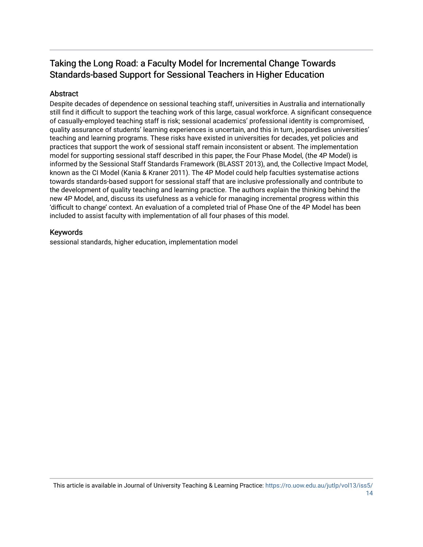# Taking the Long Road: a Faculty Model for Incremental Change Towards Standards-based Support for Sessional Teachers in Higher Education

## Abstract

Despite decades of dependence on sessional teaching staff, universities in Australia and internationally still find it difficult to support the teaching work of this large, casual workforce. A significant consequence of casually-employed teaching staff is risk; sessional academics' professional identity is compromised, quality assurance of students' learning experiences is uncertain, and this in turn, jeopardises universities' teaching and learning programs. These risks have existed in universities for decades, yet policies and practices that support the work of sessional staff remain inconsistent or absent. The implementation model for supporting sessional staff described in this paper, the Four Phase Model, (the 4P Model) is informed by the Sessional Staff Standards Framework (BLASST 2013), and, the Collective Impact Model, known as the CI Model (Kania & Kraner 2011). The 4P Model could help faculties systematise actions towards standards-based support for sessional staff that are inclusive professionally and contribute to the development of quality teaching and learning practice. The authors explain the thinking behind the new 4P Model, and, discuss its usefulness as a vehicle for managing incremental progress within this 'difficult to change' context. An evaluation of a completed trial of Phase One of the 4P Model has been included to assist faculty with implementation of all four phases of this model.

### Keywords

sessional standards, higher education, implementation model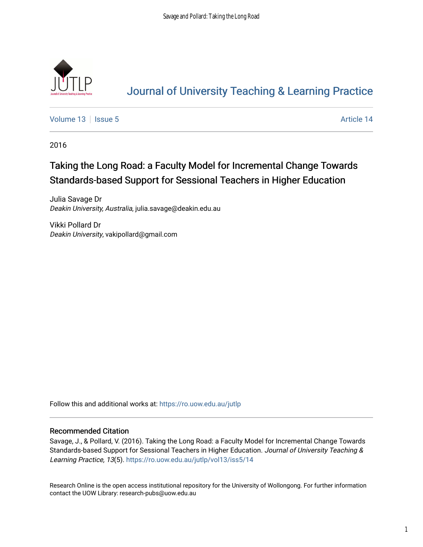

# [Journal of University Teaching & Learning Practice](https://ro.uow.edu.au/jutlp)

[Volume 13](https://ro.uow.edu.au/jutlp/vol13) | [Issue 5](https://ro.uow.edu.au/jutlp/vol13/iss5) Article 14

2016

# Taking the Long Road: a Faculty Model for Incremental Change Towards Standards-based Support for Sessional Teachers in Higher Education

Julia Savage Dr Deakin University, Australia, julia.savage@deakin.edu.au

Vikki Pollard Dr Deakin University, vakipollard@gmail.com

Follow this and additional works at: [https://ro.uow.edu.au/jutlp](https://ro.uow.edu.au/jutlp?utm_source=ro.uow.edu.au%2Fjutlp%2Fvol13%2Fiss5%2F14&utm_medium=PDF&utm_campaign=PDFCoverPages) 

#### Recommended Citation

Savage, J., & Pollard, V. (2016). Taking the Long Road: a Faculty Model for Incremental Change Towards Standards-based Support for Sessional Teachers in Higher Education. Journal of University Teaching & Learning Practice, 13(5). [https://ro.uow.edu.au/jutlp/vol13/iss5/14](https://ro.uow.edu.au/jutlp/vol13/iss5/14?utm_source=ro.uow.edu.au%2Fjutlp%2Fvol13%2Fiss5%2F14&utm_medium=PDF&utm_campaign=PDFCoverPages) 

Research Online is the open access institutional repository for the University of Wollongong. For further information contact the UOW Library: research-pubs@uow.edu.au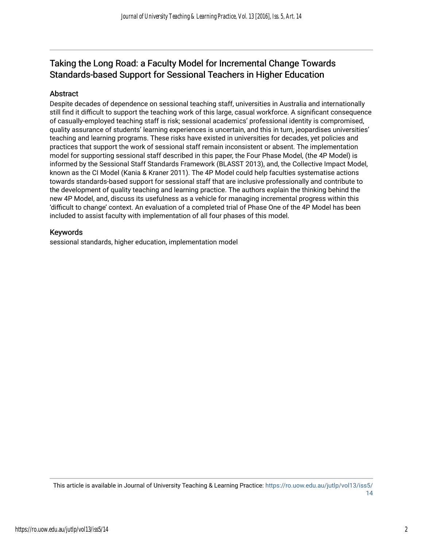# Taking the Long Road: a Faculty Model for Incremental Change Towards Standards-based Support for Sessional Teachers in Higher Education

## Abstract

Despite decades of dependence on sessional teaching staff, universities in Australia and internationally still find it difficult to support the teaching work of this large, casual workforce. A significant consequence of casually-employed teaching staff is risk; sessional academics' professional identity is compromised, quality assurance of students' learning experiences is uncertain, and this in turn, jeopardises universities' teaching and learning programs. These risks have existed in universities for decades, yet policies and practices that support the work of sessional staff remain inconsistent or absent. The implementation model for supporting sessional staff described in this paper, the Four Phase Model, (the 4P Model) is informed by the Sessional Staff Standards Framework (BLASST 2013), and, the Collective Impact Model, known as the CI Model (Kania & Kraner 2011). The 4P Model could help faculties systematise actions towards standards-based support for sessional staff that are inclusive professionally and contribute to the development of quality teaching and learning practice. The authors explain the thinking behind the new 4P Model, and, discuss its usefulness as a vehicle for managing incremental progress within this 'difficult to change' context. An evaluation of a completed trial of Phase One of the 4P Model has been included to assist faculty with implementation of all four phases of this model.

### Keywords

sessional standards, higher education, implementation model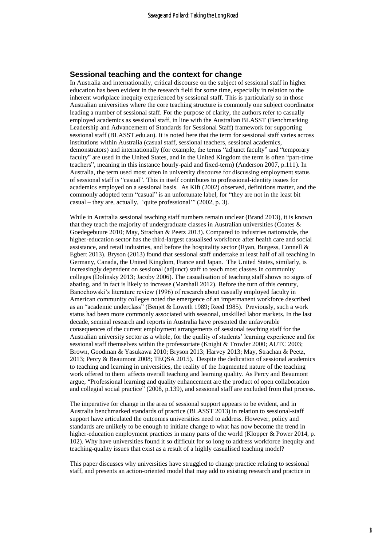#### **Sessional teaching and the context for change**

In Australia and internationally, critical discourse on the subject of sessional staff in higher education has been evident in the research field for some time, especially in relation to the inherent workplace inequity experienced by sessional staff. This is particularly so in those Australian universities where the core teaching structure is commonly one subject coordinator leading a number of sessional staff. For the purpose of clarity, the authors refer to casually employed academics as sessional staff, in line with the Australian BLASST (Benchmarking Leadership and Advancement of Standards for Sessional Staff) framework for supporting sessional staff (BLASST.edu.au). It is noted here that the term for sessional staff varies across institutions within Australia (casual staff, sessional teachers, sessional academics, demonstrators) and internationally (for example, the terms "adjunct faculty" and "temporary faculty" are used in the United States, and in the United Kingdom the term is often "part-time teachers", meaning in this instance hourly-paid and fixed-term) (Anderson 2007, p.111). In Australia, the term used most often in university discourse for discussing employment status of sessional staff is "casual". This in itself contributes to professional-identity issues for academics employed on a sessional basis. As Kift (2002) observed, definitions matter, and the commonly adopted term "casual" is an unfortunate label, for "they are not in the least bit casual – they are, actually, 'quite professional'" (2002, p. 3).

While in Australia sessional teaching staff numbers remain unclear (Brand 2013), it is known that they teach the majority of undergraduate classes in Australian universities (Coates & Goedegebuure 2010; May, Strachan & Peetz 2013). Compared to industries nationwide, the higher-education sector has the third-largest casualised workforce after health care and social assistance, and retail industries, and before the hospitality sector (Ryan, Burgess, Connell & Egbert 2013). Bryson (2013) found that sessional staff undertake at least half of all teaching in Germany, Canada, the United Kingdom, France and Japan. The United States, similarly, is increasingly dependent on sessional (adjunct) staff to teach most classes in community colleges (Dolinsky 2013; Jacoby 2006). The casualisation of teaching staff shows no signs of abating, and in fact is likely to increase (Marshall 2012). Before the turn of this century, Banochowski's literature review (1996) of research about casually employed faculty in American community colleges noted the emergence of an impermanent workforce described as an "academic underclass" (Benjet & Loweth 1989; Reed 1985). Previously, such a work status had been more commonly associated with seasonal, unskilled labor markets. In the last decade, seminal research and reports in Australia have presented the unfavorable consequences of the current employment arrangements of sessional teaching staff for the Australian university sector as a whole, for the quality of students' learning experience and for sessional staff themselves within the professoriate (Knight & Trowler 2000; AUTC 2003; Brown, Goodman & Yasukawa 2010; Bryson 2013; Harvey 2013; May, Strachan & Peetz, 2013; Percy & Beaumont 2008; TEQSA 2015). Despite the dedication of sessional academics to teaching and learning in universities, the reality of the fragmented nature of the teaching work offered to them affects overall teaching and learning quality. As Percy and Beaumont argue, "Professional learning and quality enhancement are the product of open collaboration and collegial social practice" (2008, p.139), and sessional staff are excluded from that process.

The imperative for change in the area of sessional support appears to be evident, and in Australia benchmarked standards of practice (BLASST 2013) in relation to sessional-staff support have articulated the outcomes universities need to address. However, policy and standards are unlikely to be enough to initiate change to what has now become the trend in higher-education employment practices in many parts of the world (Klopper & Power 2014, p. 102). Why have universities found it so difficult for so long to address workforce inequity and teaching-quality issues that exist as a result of a highly casualised teaching model?

This paper discusses why universities have struggled to change practice relating to sessional staff, and presents an action-oriented model that may add to existing research and practice in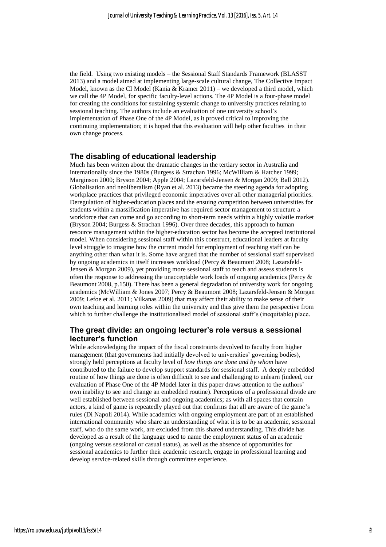the field. Using two existing models – the Sessional Staff Standards Framework (BLASST 2013) and a model aimed at implementing large-scale cultural change, The Collective Impact Model, known as the CI Model (Kania & Kramer  $2011$ ) – we developed a third model, which we call the 4P Model, for specific faculty-level actions. The 4P Model is a four-phase model for creating the conditions for sustaining systemic change to university practices relating to sessional teaching. The authors include an evaluation of one university school's implementation of Phase One of the 4P Model, as it proved critical to improving the continuing implementation; it is hoped that this evaluation will help other faculties in their own change process.

#### **The disabling of educational leadership**

Much has been written about the dramatic changes in the tertiary sector in Australia and internationally since the 1980s (Burgess & Strachan 1996; McWilliam & Hatcher 1999; Marginson 2000; Bryson 2004; Apple 2004; Lazarsfeld-Jensen & Morgan 2009; Ball 2012). Globalisation and neoliberalism (Ryan et al. 2013) became the steering agenda for adopting workplace practices that privileged economic imperatives over all other managerial priorities. Deregulation of higher-education places and the ensuing competition between universities for students within a massification imperative has required sector management to structure a workforce that can come and go according to short-term needs within a highly volatile market (Bryson 2004; Burgess & Strachan 1996). Over three decades, this approach to human resource management within the higher-education sector has become the accepted institutional model. When considering sessional staff within this construct, educational leaders at faculty level struggle to imagine how the current model for employment of teaching staff can be anything other than what it is. Some have argued that the number of sessional staff supervised by ongoing academics in itself increases workload (Percy & Beaumont 2008; Lazarsfeld-Jensen & Morgan 2009), yet providing more sessional staff to teach and assess students is often the response to addressing the unacceptable work loads of ongoing academics (Percy & Beaumont 2008, p.150). There has been a general degradation of university work for ongoing academics (McWilliam & Jones 2007; Percy & Beaumont 2008; Lazarsfeld-Jensen & Morgan 2009; Lefoe et al*.* 2011; Vilkanas 2009) that may affect their ability to make sense of their own teaching and learning roles within the university and thus give them the perspective from which to further challenge the institutionalised model of sessional staff's (inequitable) place.

#### **The great divide: an ongoing lecturer's role versus a sessional lecturer's function**

While acknowledging the impact of the fiscal constraints devolved to faculty from higher management (that governments had initially devolved to universities' governing bodies), strongly held perceptions at faculty level of *how things are done and by whom* have contributed to the failure to develop support standards for sessional staff. A deeply embedded routine of how things are done is often difficult to see and challenging to unlearn (indeed, our evaluation of Phase One of the 4P Model later in this paper draws attention to the authors' own inability to see and change an embedded routine). Perceptions of a professional divide are well established between sessional and ongoing academics; as with all spaces that contain actors, a kind of game is repeatedly played out that confirms that all are aware of the game's rules (Di Napoli 2014). While academics with ongoing employment are part of an established international community who share an understanding of what it is to be an academic, sessional staff, who do the same work, are excluded from this shared understanding. This divide has developed as a result of the language used to name the employment status of an academic (ongoing versus sessional or casual status), as well as the absence of opportunities for sessional academics to further their academic research, engage in professional learning and develop service-related skills through committee experience.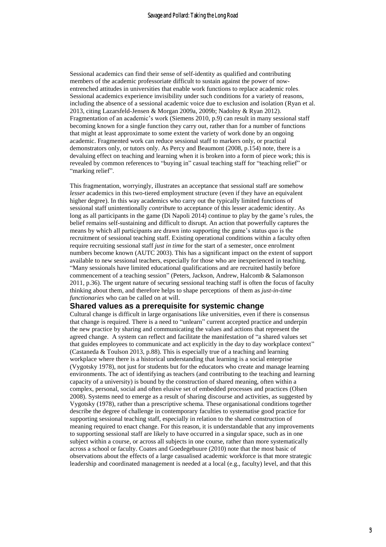Sessional academics can find their sense of self-identity as qualified and contributing members of the academic professoriate difficult to sustain against the power of nowentrenched attitudes in universities that enable work functions to replace academic roles. Sessional academics experience invisibility under such conditions for a variety of reasons, including the absence of a sessional academic voice due to exclusion and isolation (Ryan et al. 2013, citing Lazarsfeld-Jensen & Morgan 2009a, 2009b; Nadolny & Ryan 2012). Fragmentation of an academic's work (Siemens 2010, p.9) can result in many sessional staff becoming known for a single function they carry out, rather than for a number of functions that might at least approximate to some extent the variety of work done by an ongoing academic. Fragmented work can reduce sessional staff to markers only, or practical demonstrators only, or tutors only. As Percy and Beaumont (2008, p.154) note, there is a devaluing effect on teaching and learning when it is broken into a form of piece work; this is revealed by common references to "buying in" casual teaching staff for "teaching relief" or "marking relief".

This fragmentation, worryingly, illustrates an acceptance that sessional staff are somehow *lesser* academics in this two-tiered employment structure (even if they have an equivalent higher degree). In this way academics who carry out the typically limited functions of sessional staff unintentionally *contribut*e to acceptance of this lesser academic identity. As long as all participants in the game (Di Napoli 2014) continue to play by the game's rules, the belief remains self-sustaining and difficult to disrupt. An action that powerfully captures the means by which all participants are drawn into supporting the game's status quo is the recruitment of sessional teaching staff. Existing operational conditions within a faculty often require recruiting sessional staff *just in time* for the start of a semester, once enrolment numbers become known (AUTC 2003). This has a significant impact on the extent of support available to new sessional teachers, especially for those who are inexperienced in teaching. "Many sessionals have limited educational qualifications and are recruited hastily before commencement of a teaching session" (Peters, Jackson, Andrew, Halcomb & Salamonson 2011, p.36). The urgent nature of securing sessional teaching staff is often the focus of faculty thinking about them, and therefore helps to shape perceptions of them as *just-in-time functionaries* who can be called on at will.

#### **Shared values as a prerequisite for systemic change**

Cultural change is difficult in large organisations like universities, even if there is consensus that change is required. There is a need to "unlearn" current accepted practice and underpin the new practice by sharing and communicating the values and actions that represent the agreed change. A system can reflect and facilitate the manifestation of "a shared values set that guides employees to communicate and act explicitly in the day to day workplace context" (Castaneda & Toulson 2013, p.88). This is especially true of a teaching and learning workplace where there is a historical understanding that learning is a social enterprise (Vygotsky 1978), not just for students but for the educators who create and manage learning environments. The act of identifying as teachers (and contributing to the teaching and learning capacity of a university) is bound by the construction of shared meaning, often within a complex, personal, social and often elusive set of embedded processes and practices (Olsen 2008). Systems need to emerge as a result of sharing discourse and activities, as suggested by Vygotsky (1978), rather than a prescriptive schema. These organisational conditions together describe the degree of challenge in contemporary faculties to systematise good practice for supporting sessional teaching staff, especially in relation to the shared construction of meaning required to enact change. For this reason, it is understandable that any improvements to supporting sessional staff are likely to have occurred in a singular space, such as in one subject within a course, or across all subjects in one course, rather than more systematically across a school or faculty. Coates and Goedegebuure (2010) note that the most basic of observations about the effects of a large casualised academic workforce is that more strategic leadership and coordinated management is needed at a local (e.g., faculty) level, and that this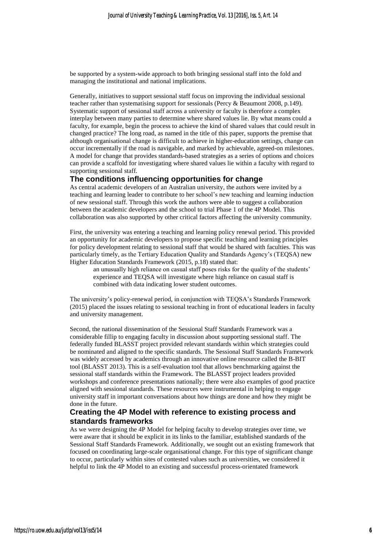be supported by a system-wide approach to both bringing sessional staff into the fold and managing the institutional and national implications.

Generally, initiatives to support sessional staff focus on improving the individual sessional teacher rather than systematising support for sessionals (Percy & Beaumont 2008, p.149). Systematic support of sessional staff across a university or faculty is therefore a complex interplay between many parties to determine where shared values lie. By what means could a faculty, for example, begin the process to achieve the kind of shared values that could result in changed practice? The long road, as named in the title of this paper, supports the premise that although organisational change is difficult to achieve in higher-education settings, change can occur incrementally if the road is navigable, and marked by achievable, agreed-on milestones. A model for change that provides standards-based strategies as a series of options and choices can provide a scaffold for investigating where shared values lie within a faculty with regard to supporting sessional staff.

#### **The conditions influencing opportunities for change**

As central academic developers of an Australian university, the authors were invited by a teaching and learning leader to contribute to her school's new teaching and learning induction of new sessional staff. Through this work the authors were able to suggest a collaboration between the academic developers and the school to trial Phase 1 of the 4P Model. This collaboration was also supported by other critical factors affecting the university community.

First, the university was entering a teaching and learning policy renewal period. This provided an opportunity for academic developers to propose specific teaching and learning principles for policy development relating to sessional staff that would be shared with faculties. This was particularly timely, as the Tertiary Education Quality and Standards Agency's (TEQSA) new Higher Education Standards Framework (2015, p.18) stated that:

an unusually high reliance on casual staff poses risks for the quality of the students' experience and TEQSA will investigate where high reliance on casual staff is combined with data indicating lower student outcomes.

The university's policy-renewal period, in conjunction with TEQSA's Standards Framework (2015) placed the issues relating to sessional teaching in front of educational leaders in faculty and university management.

Second, the national dissemination of the Sessional Staff Standards Framework was a considerable fillip to engaging faculty in discussion about supporting sessional staff. The federally funded BLASST project provided relevant standards within which strategies could be nominated and aligned to the specific standards. The Sessional Staff Standards Framework was widely accessed by academics through an innovative online resource called the B-BIT tool (BLASST 2013). This is a self-evaluation tool that allows benchmarking against the sessional staff standards within the Framework. The BLASST project leaders provided workshops and conference presentations nationally; there were also examples of good practice aligned with sessional standards. These resources were instrumental in helping to engage university staff in important conversations about how things are done and how they might be done in the future.

#### **Creating the 4P Model with reference to existing process and standards frameworks**

As we were designing the 4P Model for helping faculty to develop strategies over time, we were aware that it should be explicit in its links to the familiar, established standards of the Sessional Staff Standards Framework. Additionally, we sought out an existing framework that focused on coordinating large-scale organisational change. For this type of significant change to occur, particularly within sites of contested values such as universities, we considered it helpful to link the 4P Model to an existing and successful process-orientated framework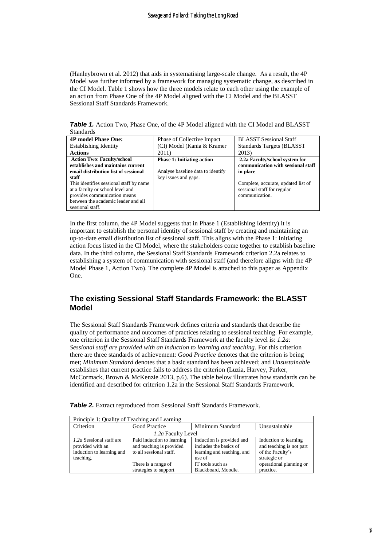(Hanleybrown et al. 2012) that aids in systematising large-scale change. As a result, the 4P Model was further informed by a framework for managing systematic change, as described in the CI Model. Table 1 shows how the three models relate to each other using the example of an action from Phase One of the 4P Model aligned with the CI Model and the BLASST Sessional Staff Standards Framework.

**Table 1.** Action Two, Phase One, of the 4P Model aligned with the CI Model and BLASST Standards

| <b>4P model Phase One:</b>                                                                                                                                                                                                                                                                        | Phase of Collective Impact                                                                     | <b>BLASST</b> Sessional Staff                                                                                                                                            |
|---------------------------------------------------------------------------------------------------------------------------------------------------------------------------------------------------------------------------------------------------------------------------------------------------|------------------------------------------------------------------------------------------------|--------------------------------------------------------------------------------------------------------------------------------------------------------------------------|
| <b>Establishing Identity</b>                                                                                                                                                                                                                                                                      | (CI) Model (Kania & Kramer)                                                                    | Standards Targets (BLASST)                                                                                                                                               |
| <b>Actions</b>                                                                                                                                                                                                                                                                                    | 2011)                                                                                          | 2013)                                                                                                                                                                    |
| <b>Action Two: Faculty/school</b><br>establishes and maintains current<br>email distribution list of sessional<br>staff<br>This identifies sessional staff by name<br>at a faculty or school level and<br>provides communication means<br>between the academic leader and all<br>sessional staff. | <b>Phase 1: Initiating action</b><br>Analyse baseline data to identify<br>key issues and gaps. | 2.2a Faculty/school system for<br>communication with sessional staff<br>in place<br>Complete, accurate, updated list of<br>sessional staff for regular<br>communication. |

In the first column, the 4P Model suggests that in Phase 1 (Establishing Identity) it is important to establish the personal identity of sessional staff by creating and maintaining an up-to-date email distribution list of sessional staff. This aligns with the Phase 1: Initiating action focus listed in the CI Model, where the stakeholders come together to establish baseline data. In the third column, the Sessional Staff Standards Framework criterion 2.2a relates to establishing a system of communication with sessional staff (and therefore aligns with the 4P Model Phase 1, Action Two). The complete 4P Model is attached to this paper as Appendix One.

## **The existing Sessional Staff Standards Framework: the BLASST Model**

The Sessional Staff Standards Framework defines criteria and standards that describe the quality of performance and outcomes of practices relating to sessional teaching. For example, one criterion in the Sessional Staff Standards Framework at the faculty level is: *1.2a: Sessional staff are provided with an induction to learning and teaching*. For this criterion there are three standards of achievement: *Good Practice* denotes that the criterion is being met; *Minimum Standard* denotes that a basic standard has been achieved; and *Unsustainabl*e establishes that current practice fails to address the criterion (Luzia, Harvey, Parker, McCormack, Brown & McKenzie 2013, p.6). The table below illustrates how standards can be identified and described for criterion 1.2a in the Sessional Staff Standards Framework.

| Principle 1: Quality of Teaching and Learning |                            |                            |                          |  |
|-----------------------------------------------|----------------------------|----------------------------|--------------------------|--|
| Criterion                                     | Good Practice              | Unsustainable              |                          |  |
| 1.2a Faculty Level                            |                            |                            |                          |  |
| 1.2a Sessional staff are                      | Paid induction to learning | Induction is provided and  | Induction to learning    |  |
| provided with an                              | and teaching is provided   | includes the basics of     | and teaching is not part |  |
| induction to learning and                     | to all sessional staff.    | learning and teaching, and | of the Faculty's         |  |
| teaching.                                     |                            | use of                     | strategic or             |  |
|                                               | There is a range of        | IT tools such as           | operational planning or  |  |
|                                               | strategies to support      | Blackboard, Moodle.        | practice.                |  |

*Table 2.* Extract reproduced from Sessional Staff Standards Framework.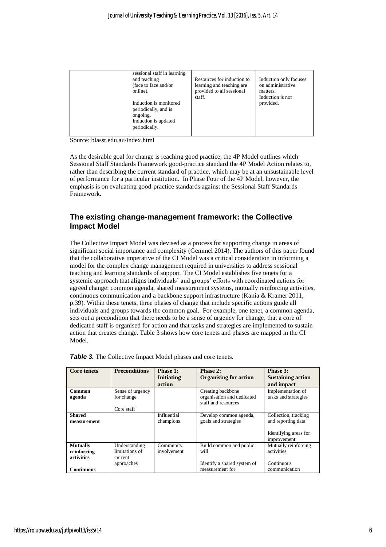| sessional staff in learning<br>and teaching<br>(face to face and/or<br>online).<br>Induction is monitored<br>periodically, and is<br>ongoing.<br>Induction is updated<br>periodically. | Resources for induction to<br>learning and teaching are.<br>provided to all sessional<br>staff. | Induction only focuses<br>on administrative<br>matters.<br>Induction is not<br>provided. |
|----------------------------------------------------------------------------------------------------------------------------------------------------------------------------------------|-------------------------------------------------------------------------------------------------|------------------------------------------------------------------------------------------|
|                                                                                                                                                                                        |                                                                                                 |                                                                                          |

Source: blasst.edu.au/index.html

As the desirable goal for change is reaching good practice, the 4P Model outlines which Sessional Staff Standards Framework good-practice standard the 4P Model Action relates to, rather than describing the current standard of practice, which may be at an unsustainable level of performance for a particular institution. In Phase Four of the 4P Model, however, the emphasis is on evaluating good-practice standards against the Sessional Staff Standards Framework.

## **The existing change-management framework: the Collective Impact Model**

The Collective Impact Model was devised as a process for supporting change in areas of significant social importance and complexity (Gemmel 2014). The authors of this paper found that the collaborative imperative of the CI Model was a critical consideration in informing a model for the complex change management required in universities to address sessional teaching and learning standards of support. The CI Model establishes five tenets for a systemic approach that aligns individuals' and groups' efforts with coordinated actions for agreed change: common agenda, shared measurement systems, mutually reinforcing activities, continuous communication and a backbone support infrastructure (Kania & Kramer 2011, p.39). Within these tenets, three phases of change that include specific actions guide all individuals and groups towards the common goal. For example, one tenet, a common agenda, sets out a precondition that there needs to be a sense of urgency for change, that a core of dedicated staff is organised for action and that tasks and strategies are implemented to sustain action that creates change. Table 3 shows how core tenets and phases are mapped in the CI Model.

| <b>Core tenets</b> | <b>Preconditions</b> | Phase 1:          | Phase 2:                     | Phase 3:                 |
|--------------------|----------------------|-------------------|------------------------------|--------------------------|
|                    |                      | <b>Initiating</b> | <b>Organising for action</b> | <b>Sustaining action</b> |
|                    |                      | action            |                              | and impact               |
| Common             | Sense of urgency     |                   | Creating backbone            | Implementation of        |
| agenda             | for change           |                   | organisation and dedicated   | tasks and strategies     |
|                    |                      |                   | staff and resources          |                          |
|                    | Core staff           |                   |                              |                          |
| <b>Shared</b>      |                      | Influential       | Develop common agenda,       | Collection, tracking     |
| measurement        |                      | champions         | goals and strategies         | and reporting data       |
|                    |                      |                   |                              |                          |
|                    |                      |                   |                              | Identifying areas for    |
|                    |                      |                   |                              | improvement              |
| <b>Mutually</b>    | Understanding        | Community         | Build common and public      | Mutually reinforcing     |
| reinforcing        | limitations of       | involvement       | will                         | activities               |
| activities         | current              |                   |                              |                          |
|                    | approaches           |                   | Identify a shared system of  | Continuous               |
| <b>Continuous</b>  |                      |                   | measurement for              | communication            |

|  | Table 3. The Collective Impact Model phases and core tenets. |  |
|--|--------------------------------------------------------------|--|
|  |                                                              |  |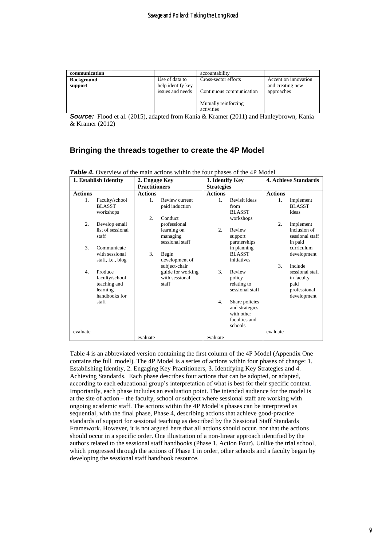| communication     |                                       | accountability                     |                                |
|-------------------|---------------------------------------|------------------------------------|--------------------------------|
| <b>Background</b> | Use of data to                        | Cross-sector efforts               | Accent on innovation           |
| support           | help identify key<br>issues and needs | Continuous communication           | and creating new<br>approaches |
|                   |                                       | Mutually reinforcing<br>activities |                                |

**Source:** Flood et al. (2015), adapted from Kania & Kramer (2011) and Hanleybrown, Kania & Kramer (2012)

# **Bringing the threads together to create the 4P Model**

|                  | 1. Establish Identity                                                  | 2. Engage Key          |                                                               | 3. Identify Key   |                                                                            |                  | <b>4. Achieve Standards</b>                                                     |
|------------------|------------------------------------------------------------------------|------------------------|---------------------------------------------------------------|-------------------|----------------------------------------------------------------------------|------------------|---------------------------------------------------------------------------------|
|                  |                                                                        | <b>Practitioners</b>   |                                                               | <b>Strategies</b> |                                                                            |                  |                                                                                 |
| <b>Actions</b>   |                                                                        | <b>Actions</b>         |                                                               | <b>Actions</b>    |                                                                            | <b>Actions</b>   |                                                                                 |
| 1.               | Faculty/school<br><b>BLASST</b><br>workshops                           | 1.<br>$\overline{2}$ . | Review current<br>paid induction<br>Conduct                   | $\mathbf{1}$ .    | Revisit ideas<br>from<br><b>BLASST</b><br>workshops                        | $1_{-}$          | Implement<br><b>BLASST</b><br>ideas                                             |
| $\overline{2}$ . | Develop email<br>list of sessional<br>staff                            |                        | professional<br>learning on<br>managing<br>sessional staff    | 2.                | Review<br>support<br>partnerships                                          | $\overline{2}$ . | Implement<br>inclusion of<br>sessional staff<br>in paid                         |
| 3.               | Communicate<br>with sessional<br>staff, i.e., blog                     | 3.                     | Begin<br>development of                                       |                   | in planning<br><b>BLASST</b><br>initiatives                                |                  | curriculum<br>development                                                       |
| $\overline{4}$   | Produce<br>faculty/school<br>teaching and<br>learning<br>handbooks for |                        | subject-chair<br>guide for working<br>with sessional<br>staff | $\mathcal{F}$     | Review<br>policy<br>relating to<br>sessional staff                         | 3.               | Include<br>sessional staff<br>in faculty<br>paid<br>professional<br>development |
|                  | staff                                                                  |                        |                                                               | 4.                | Share policies<br>and strategies<br>with other<br>faculties and<br>schools |                  |                                                                                 |
| evaluate         |                                                                        | evaluate               |                                                               | evaluate          |                                                                            | evaluate         |                                                                                 |

*Table* 4. Overview of the main actions within the four phases of the 4P Model

Table 4 is an abbreviated version containing the first column of the 4P Model (Appendix One contains the full model). The 4P Model is a series of actions within four phases of change: 1. Establishing Identity, 2. Engaging Key Practitioners, 3. Identifying Key Strategies and 4. Achieving Standards. Each phase describes four actions that can be adopted, or adapted, according to each educational group's interpretation of what is best for their specific context. Importantly, each phase includes an evaluation point. The intended audience for the model is at the site of action – the faculty, school or subject where sessional staff are working with ongoing academic staff. The actions within the 4P Model's phases can be interpreted as sequential, with the final phase, Phase 4, describing actions that achieve good-practice standards of support for sessional teaching as described by the Sessional Staff Standards Framework. However, it is not argued here that all actions should occur, nor that the actions should occur in a specific order. One illustration of a non-linear approach identified by the authors related to the sessional staff handbooks (Phase 1, Action Four). Unlike the trial school, which progressed through the actions of Phase 1 in order, other schools and a faculty began by developing the sessional staff handbook resource.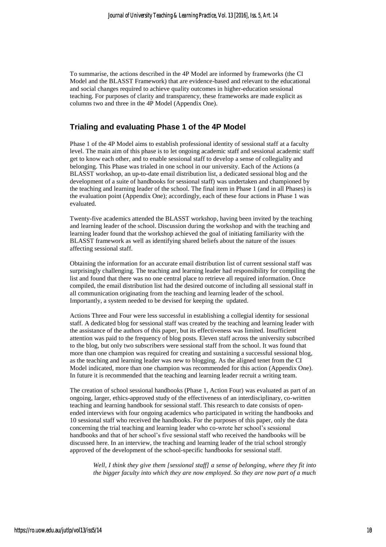To summarise, the actions described in the 4P Model are informed by frameworks (the CI Model and the BLASST Framework) that are evidence-based and relevant to the educational and social changes required to achieve quality outcomes in higher-education sessional teaching. For purposes of clarity and transparency, these frameworks are made explicit as columns two and three in the 4P Model (Appendix One).

### **Trialing and evaluating Phase 1 of the 4P Model**

Phase 1 of the 4P Model aims to establish professional identity of sessional staff at a faculty level. The main aim of this phase is to let ongoing academic staff and sessional academic staff get to know each other, and to enable sessional staff to develop a sense of collegiality and belonging. This Phase was trialed in one school in our university. Each of the Actions (a BLASST workshop, an up-to-date email distribution list, a dedicated sessional blog and the development of a suite of handbooks for sessional staff) was undertaken and championed by the teaching and learning leader of the school. The final item in Phase 1 (and in all Phases) is the evaluation point (Appendix One); accordingly, each of these four actions in Phase 1 was evaluated.

Twenty-five academics attended the BLASST workshop, having been invited by the teaching and learning leader of the school. Discussion during the workshop and with the teaching and learning leader found that the workshop achieved the goal of initiating familiarity with the BLASST framework as well as identifying shared beliefs about the nature of the issues affecting sessional staff.

Obtaining the information for an accurate email distribution list of current sessional staff was surprisingly challenging. The teaching and learning leader had responsibility for compiling the list and found that there was no one central place to retrieve all required information. Once compiled, the email distribution list had the desired outcome of including all sessional staff in all communication originating from the teaching and learning leader of the school. Importantly, a system needed to be devised for keeping the updated.

Actions Three and Four were less successful in establishing a collegial identity for sessional staff. A dedicated blog for sessional staff was created by the teaching and learning leader with the assistance of the authors of this paper, but its effectiveness was limited. Insufficient attention was paid to the frequency of blog posts. Eleven staff across the university subscribed to the blog, but only two subscribers were sessional staff from the school. It was found that more than one champion was required for creating and sustaining a successful sessional blog, as the teaching and learning leader was new to blogging. As the aligned tenet from the CI Model indicated, more than one champion was recommended for this action (Appendix One). In future it is recommended that the teaching and learning leader recruit a writing team.

The creation of school sessional handbooks (Phase 1, Action Four) was evaluated as part of an ongoing, larger, ethics-approved study of the effectiveness of an interdisciplinary, co-written teaching and learning handbook for sessional staff. This research to date consists of openended interviews with four ongoing academics who participated in writing the handbooks and 10 sessional staff who received the handbooks. For the purposes of this paper, only the data concerning the trial teaching and learning leader who co-wrote her school's sessional handbooks and that of her school's five sessional staff who received the handbooks will be discussed here. In an interview, the teaching and learning leader of the trial school strongly approved of the development of the school-specific handbooks for sessional staff.

*Well, I think they give them [sessional staff] a sense of belonging, where they fit into the bigger faculty into which they are now employed. So they are now part of a much*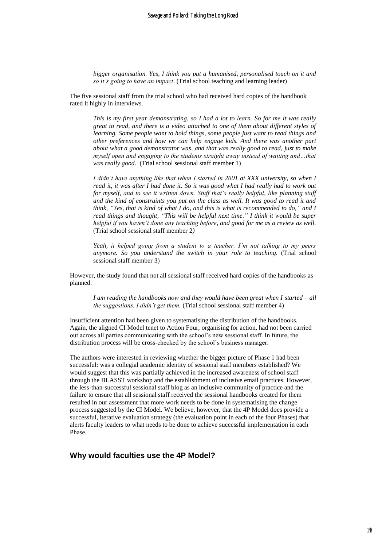*bigger organisation. Yes, I think you put a humanised, personalised touch on it and so it's going to have an impact*. (Trial school teaching and learning leader)

The five sessional staff from the trial school who had received hard copies of the handbook rated it highly in interviews.

*This is my first year demonstrating, so I had a lot to learn. So for me it was really great to read, and there is a video attached to one of them about different styles of learning. Some people want to hold things, some people just want to read things and other preferences and how we can help engage kids. And there was another part about what a good demonstrator was, and that was really good to read, just to make myself open and engaging to the students straight away instead of waiting and…that was really good.* (Trial school sessional staff member 1)

*I didn't have anything like that when I started in 2001 at XXX university, so when I read it, it was after I had done it. So it was good what I had really had to work out for myself, and to see it written down. Stuff that's really helpful, like planning stuff and the kind of constraints you put on the class as well. It was good to read it and think, "Yes, that is kind of what I do, and this is what is recommended to do," and I read things and thought, "This will be helpful next time." I think it would be super helpful if you haven't done any teaching before, and good for me as a review as well.* (Trial school sessional staff member 2*)*

*Yeah, it helped going from a student to a teacher. I'm not talking to my peers anymore. So you understand the switch in your role to teaching.* (Trial school sessional staff member 3)

However, the study found that not all sessional staff received hard copies of the handbooks as planned.

*I am reading the handbooks now and they would have been great when I started – all the suggestions. I didn't get them.* (Trial school sessional staff member 4)

Insufficient attention had been given to systematising the distribution of the handbooks. Again, the aligned CI Model tenet to Action Four, organising for action, had not been carried out across all parties communicating with the school's new sessional staff. In future, the distribution process will be cross-checked by the school's business manager.

The authors were interested in reviewing whether the bigger picture of Phase 1 had been successful: was a collegial academic identity of sessional staff members established? We would suggest that this was partially achieved in the increased awareness of school staff through the BLASST workshop and the establishment of inclusive email practices. However, the less-than-successful sessional staff blog as an inclusive community of practice and the failure to ensure that all sessional staff received the sessional handbooks created for them resulted in our assessment that more work needs to be done in systematising the change process suggested by the CI Model. We believe, however, that the 4P Model does provide a successful, iterative evaluation strategy (the evaluation point in each of the four Phases) that alerts faculty leaders to what needs to be done to achieve successful implementation in each Phase.

#### **Why would faculties use the 4P Model?**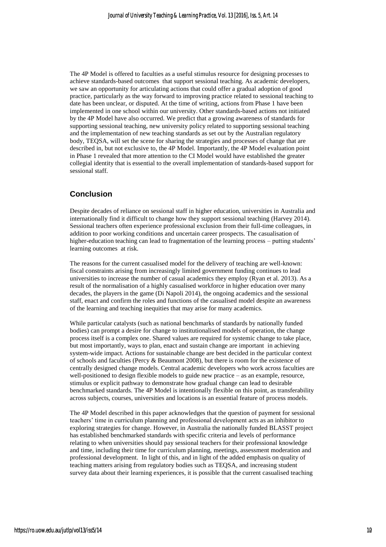The 4P Model is offered to faculties as a useful stimulus resource for designing processes to achieve standards-based outcomes that support sessional teaching. As academic developers, we saw an opportunity for articulating actions that could offer a gradual adoption of good practice, particularly as the way forward to improving practice related to sessional teaching to date has been unclear, or disputed. At the time of writing, actions from Phase 1 have been implemented in one school within our university. Other standards-based actions not initiated by the 4P Model have also occurred. We predict that a growing awareness of standards for supporting sessional teaching, new university policy related to supporting sessional teaching and the implementation of new teaching standards as set out by the Australian regulatory body, TEQSA, will set the scene for sharing the strategies and processes of change that are described in, but not exclusive to, the 4P Model. Importantly, the 4P Model evaluation point in Phase 1 revealed that more attention to the CI Model would have established the greater collegial identity that is essential to the overall implementation of standards-based support for sessional staff.

### **Conclusion**

Despite decades of reliance on sessional staff in higher education, universities in Australia and internationally find it difficult to change how they support sessional teaching (Harvey 2014). Sessional teachers often experience professional exclusion from their full-time colleagues, in addition to poor working conditions and uncertain career prospects. The casualisation of higher-education teaching can lead to fragmentation of the learning process – putting students' learning outcomes at risk.

The reasons for the current casualised model for the delivery of teaching are well-known: fiscal constraints arising from increasingly limited government funding continues to lead universities to increase the number of casual academics they employ (Ryan et al. 2013). As a result of the normalisation of a highly casualised workforce in higher education over many decades, the players in the game (Di Napoli 2014), the ongoing academics and the sessional staff, enact and confirm the roles and functions of the casualised model despite an awareness of the learning and teaching inequities that may arise for many academics.

While particular catalysts (such as national benchmarks of standards by nationally funded bodies) can prompt a desire for change to institutionalised models of operation, the change process itself is a complex one. Shared values are required for systemic change to take place, but most importantly, ways to plan, enact and sustain change are important in achieving system-wide impact. Actions for sustainable change are best decided in the particular context of schools and faculties (Percy  $\&$  Beaumont 2008), but there is room for the existence of centrally designed change models. Central academic developers who work across faculties are well-positioned to design flexible models to guide new practice – as an example, resource, stimulus or explicit pathway to demonstrate how gradual change can lead to desirable benchmarked standards. The 4P Model is intentionally flexible on this point, as transferability across subjects, courses, universities and locations is an essential feature of process models.

The 4P Model described in this paper acknowledges that the question of payment for sessional teachers' time in curriculum planning and professional development acts as an inhibitor to exploring strategies for change. However, in Australia the nationally funded BLASST project has established benchmarked standards with specific criteria and levels of performance relating to when universities should pay sessional teachers for their professional knowledge and time, including their time for curriculum planning, meetings, assessment moderation and professional development. In light of this, and in light of the added emphasis on quality of teaching matters arising from regulatory bodies such as TEQSA, and increasing student survey data about their learning experiences, it is possible that the current casualised teaching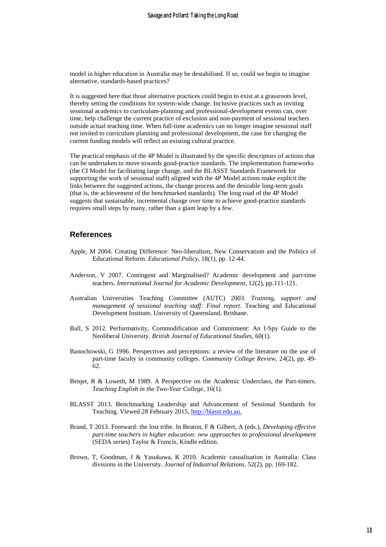model in higher education in Australia may be destabilised. If so, could we begin to imagine alternative, standards-based practices?

It is suggested here that those alternative practices could begin to exist at a grassroots level, thereby setting the conditions for system-wide change. Inclusive practices such as inviting sessional academics to curriculum-planning and professional-development events can, over time, help challenge the current practice of exclusion and non-payment of sessional teachers outside actual teaching time. When full-time academics can no longer imagine sessional staff not invited to curriculum planning and professional development, the case for changing the current funding models will reflect an existing cultural practice.

The practical emphasis of the 4P Model is illustrated by the specific descriptors of actions that can be undertaken to move towards good-practice standards. The implementation frameworks (the CI Model for facilitating large change, and the BLASST Standards Framework for supporting the work of sessional staff) aligned with the 4P Model actions make explicit the links between the suggested actions, the change process and the desirable long-term goals (that is, the achievement of the benchmarked standards). The long road of the 4P Model suggests that sustainable, incremental change over time to achieve good-practice standards requires small steps by many, rather than a giant leap by a few.

#### **References**

- Apple, M 2004. Creating Difference: Neo-liberalism, New Conservatism and the Politics of Educational Reform. *Educational Policy,* 18(1), pp. 12-44.
- Anderson, V 2007. Contingent and Marginalised? Academic development and part‐time teachers. *International Journal for Academic Development*, 12(2), pp.111-121.
- Australian Universities Teaching Committee (AUTC) 2003. *Training, support and management of sessional teaching staff: Final report.* Teaching and Educational Development Institute, University of Queensland, Brisbane.
- Ball, S 2012. Performativity, Commodification and Commitment: An I-Spy Guide to the Neoliberal University. *British Journal of Educational Studies,* 60(1).
- Banochowski, G 1996. Perspectives and perceptions: a review of the literature on the use of part-time faculty in community colleges. *Community College Review*, 24(2), pp. 49- 62.
- Benjet, R & Loweth, M 1989. A Perspective on the Academic Underclass, the Part-timers. *Teaching English in the Two-Year College*, 16(1).
- BLASST 2013. Benchmarking Leadership and Advancement of Sessional Standards for Teaching. Viewed 28 February 2015, [http://blasst.edu.au.](http://blasst.edu.au/)
- Brand, T 2013. Foreward: the lost tribe. In Beaton, F & Gilbert, A (eds.), *Developing effective part-time teachers in higher education: new approaches to professional development* (SEDA series) Taylor & Francis, Kindle edition.
- Brown, T, Goodman, J & Yasukawa, K 2010. Academic casualisation in Australia: Class divisions in the University. *Journal of Industrial Relations,* 52(2), pp. 169-182.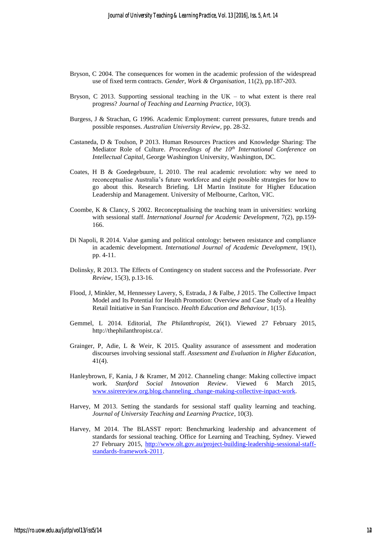- Bryson, C 2004. The consequences for women in the academic profession of the widespread use of fixed term contracts. *Gender, Work & Organisation*, 11(2), pp.187-203.
- Bryson, C 2013. Supporting sessional teaching in the  $UK -$  to what extent is there real progress? *Journal of Teaching and Learning Practice*, 10(3).
- Burgess, J & Strachan, G 1996. Academic Employment: current pressures, future trends and possible responses. *Australian University Review,* pp. 28-32.
- Castaneda, D & Toulson, P 2013. Human Resources Practices and Knowledge Sharing: The Mediator Role of Culture. *Proceedings of the 10th International Conference on Intellectual Capital,* George Washington University, Washington, DC*.*
- Coates, H B & Goedegebuure, L 2010. The real academic revolution: why we need to reconceptualise Australia's future workforce and eight possible strategies for how to go about this. Research Briefing. LH Martin Institute for Higher Education Leadership and Management. University of Melbourne, Carlton, VIC.
- Coombe, K & Clancy, S 2002. Reconceptualising the teaching team in universities: working with sessional staff. *International Journal for Academic Development,* 7(2), pp.159- 166.
- Di Napoli, R 2014. Value gaming and political ontology: between resistance and compliance in academic development. *International Journal of Academic Development*, 19(1), pp. 4-11.
- Dolinsky, R 2013. The Effects of Contingency on student success and the Professoriate. *Peer Review,* 15(3), p.13-16.
- Flood, J, Minkler, M, Hennessey Lavery, S, Estrada, J & Falbe, J 2015. The Collective Impact Model and Its Potential for Health Promotion: Overview and Case Study of a Healthy Retail Initiative in San Francisco. *Health Education and Behaviour*, 1(15).
- Gemmel, L 2014. Editorial, *The Philanthropist,* 26(1). Viewed 27 February 2015, http://thephilanthropist.ca/.
- Grainger, P, Adie, L & Weir, K 2015. Quality assurance of assessment and moderation discourses involving sessional staff. *Assessment and Evaluation in Higher Education*, 41(4).
- Hanleybrown, F, Kania, J & Kramer, M 2012. Channeling change: Making collective impact work. *Stanford Social Innovation Review*. Viewed 6 March 2015, [www.ssirereview.org.blog.channeling\\_change-making-collective-inpact-work.](http://www.ssirereview.org.blog.channeling_change-making-collective-inpact-work/)
- Harvey, M 2013. Setting the standards for sessional staff quality learning and teaching. *Journal of University Teaching and Learning Practice*, 10(3).
- Harvey, M 2014. The BLASST report: Benchmarking leadership and advancement of standards for sessional teaching. Office for Learning and Teaching, Sydney. Viewed 27 February 2015, [http://www.olt.gov.au/project-building-leadership-sessional-staff](http://www.olt.gov.au/project-building-leadership-sessional-staff-standards-framework-2011)[standards-framework-2011.](http://www.olt.gov.au/project-building-leadership-sessional-staff-standards-framework-2011)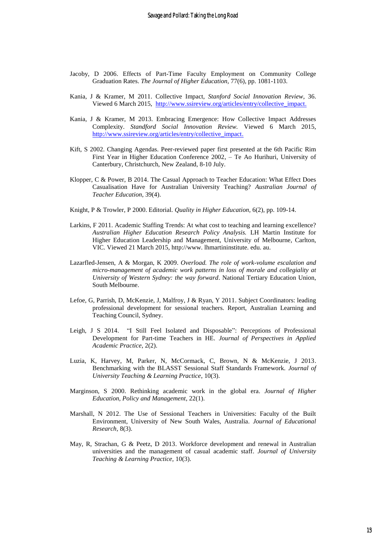- Jacoby, D 2006. Effects of Part-Time Faculty Employment on Community College Graduation Rates. *The Journal of Higher Education,* 77(6)*,* pp. 1081-1103.
- Kania, J & Kramer, M 2011. Collective Impact, *Stanford Social Innovation Review*, 36. Viewed 6 March 2015, [http://www.ssireview.org/articles/entry/collective\\_impact.](http://www.ssireview.org/articles/entry/collective_impact)
- Kania, J & Kramer, M 2013. Embracing Emergence: How Collective Impact Addresses Complexity. *Standford Social Innovation Review.* Viewed 6 March 2015, [http://www.ssireview.org/articles/entry/collective\\_impact.](http://www.ssireview.org/articles/entry/collective_impact)
- Kift, S 2002. Changing Agendas. Peer-reviewed paper first presented at the 6th Pacific Rim First Year in Higher Education Conference 2002, – Te Ao Hurihuri, University of Canterbury, Christchurch, New Zealand, 8-10 July.
- Klopper, C & Power, B 2014. The Casual Approach to Teacher Education: What Effect Does Casualisation Have for Australian University Teaching? *Australian Journal of Teacher Education*, 39(4).
- Knight, P & Trowler, P 2000. Editorial. *Quality in Higher Education,* 6(2), pp. 109-14.
- Larkins, F 2011. Academic Staffing Trends: At what cost to teaching and learning excellence? *Australian Higher Education Research Policy Analysis.* LH Martin Institute for Higher Education Leadership and Management, University of Melbourne, Carlton, VIC. Viewed 21 March 2015, http://www. lhmartininstitute. edu. au.
- Lazarfled-Jensen, A & Morgan, K 2009. *Overload. The role of work-volume escalation and micro-management of academic work patterns in loss of morale and collegiality at University of Western Sydney: the way forward*. National Tertiary Education Union, South Melbourne.
- Lefoe, G, Parrish, D, McKenzie, J, Malfroy, J & Ryan, Y 2011. Subject Coordinators: leading professional development for sessional teachers. Report, Australian Learning and Teaching Council, Sydney.
- Leigh, J S 2014. "I Still Feel Isolated and Disposable": Perceptions of Professional Development for Part-time Teachers in HE. *Journal of Perspectives in Applied Academic Practice*, 2(2).
- Luzia, K, Harvey, M, Parker, N, McCormack, C, Brown, N & McKenzie, J 2013. Benchmarking with the BLASST Sessional Staff Standards Framework. *Journal of University Teaching & Learning Practice*, 10(3).
- Marginson, S 2000. Rethinking academic work in the global era. *Journal of Higher Education, Policy and Management*, 22(1).
- Marshall, N 2012. The Use of Sessional Teachers in Universities: Faculty of the Built Environment, University of New South Wales, Australia. *Journal of Educational Research,* 8(3).
- May, R, Strachan, G & Peetz, D 2013. Workforce development and renewal in Australian universities and the management of casual academic staff. *Journal of University Teaching & Learning Practice,* 10(3).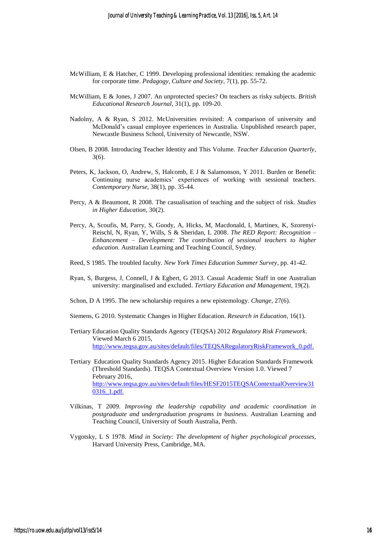- McWilliam, E & Hatcher, C 1999. Developing professional identities: remaking the academic for corporate time. *Pedagogy, Culture and Society,* 7(1), pp. 55-72.
- McWilliam, E & Jones, J 2007. An unprotected species? On teachers as risky subjects. *British Educational Research Journal,* 31(1), pp. 109-20.
- Nadolny, A & Ryan, S 2012. McUniversities revisited: A comparison of university and McDonald's casual employee experiences in Australia. Unpublished research paper, Newcastle Business School, University of Newcastle, NSW.
- Olsen, B 2008. Introducing Teacher Identity and This Volume. *Teacher Education Quarterly*, 3(6).
- Peters, K, Jackson, O, Andrew, S, Halcomb, E J & Salamonson, Y 2011. Burden or Benefit: Continuing nurse academics' experiences of working with sessional teachers. *Contemporary Nurse,* 38(1), pp. 35-44.
- Percy, A & Beaumont, R 2008. The casualisation of teaching and the subject of risk. *Studies in Higher Education*, 30(2).
- Percy, A, Scoufis, M, Parry, S, Goody, A, Hicks, M, Macdonald, I, Martinex, K, Szorenyi-Reischl, N, Ryan, Y, Wills, S & Sheridan, L 2008. *The RED Report: Recognition – Enhancement – Development: The contribution of sessional teachers to higher education.* Australian Learning and Teaching Council, Sydney.
- Reed, S 1985. The troubled faculty. *New York Times Education Summer Survey*, pp. 41-42.
- Ryan, S, Burgess, J, Connell, J & Egbert, G 2013. Casual Academic Staff in one Australian university: marginalised and excluded. *Tertiary Education and Management,* 19(2).
- Schon, D A 1995. The new scholarship requires a new epistemology. *Change,* 27(6).
- Siemens, G 2010. Systematic Changes in Higher Education. *Research in Education*, 16(1).
- Tertiary Education Quality Standards Agency (TEQSA) 2012 *Regulatory Risk Framework*. Viewed March 6 2015, [http://www.teqsa.gov.au/sites/default/files/TEQSARegulatoryRiskFramework\\_0.pdf.](http://www.teqsa.gov.au/sites/default/files/TEQSARegulatoryRiskFramework_0.pdf)
- Tertiary Education Quality Standards Agency 2015. Higher Education Standards Framework (Threshold Standards). TEQSA Contextual Overview Version 1.0. Viewed 7 February 2016, [http://www.teqsa.gov.au/sites/default/files/HESF2015TEQSAContextualOverview31](http://www.teqsa.gov.au/sites/default/files/HESF2015TEQSAContextualOverview310316_1.pdf) [0316\\_1.pdf.](http://www.teqsa.gov.au/sites/default/files/HESF2015TEQSAContextualOverview310316_1.pdf)
- Vilkinas, T 2009. *Improving the leadership capability and academic coordination in postgraduate and undergraduation programs in business*. Australian Learning and Teaching Council, University of South Australia, Perth.
- Vygotsky, L S 1978. *Mind in Society: The development of higher psychological processes,*  Harvard University Press, Cambridge, MA.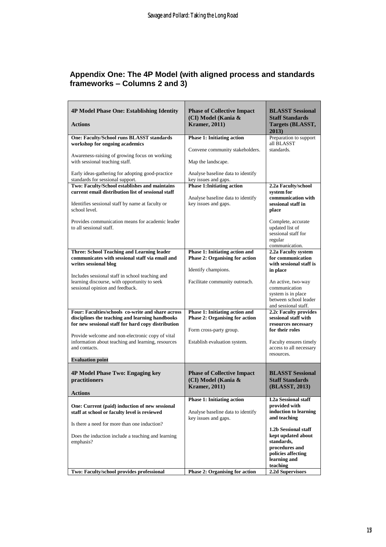# **Appendix One: The 4P Model (with aligned process and standards frameworks – Columns 2 and 3)**

| <b>4P Model Phase One: Establishing Identity</b><br><b>Actions</b>                                                                                         | <b>Phase of Collective Impact</b><br>(CI) Model (Kania &<br><b>Kramer</b> , 2011) | <b>BLASST Sessional</b><br><b>Staff Standards</b><br>Targets (BLASST,                                      |
|------------------------------------------------------------------------------------------------------------------------------------------------------------|-----------------------------------------------------------------------------------|------------------------------------------------------------------------------------------------------------|
|                                                                                                                                                            |                                                                                   | 2013)                                                                                                      |
| <b>One: Faculty/School runs BLASST standards</b><br>workshop for ongoing academics                                                                         | <b>Phase 1: Initiating action</b>                                                 | Preparation to support<br>all BLASST                                                                       |
| Awareness-raising of growing focus on working                                                                                                              | Convene community stakeholders.                                                   | standards.                                                                                                 |
| with sessional teaching staff.<br>Early ideas-gathering for adopting good-practice                                                                         | Map the landscape.<br>Analyse baseline data to identify                           |                                                                                                            |
| standards for sessional support.                                                                                                                           | key issues and gaps.                                                              |                                                                                                            |
| Two: Faculty/School establishes and maintains<br>current email distribution list of sessional staff                                                        | <b>Phase 1: Initiating action</b>                                                 | 2.2a Faculty/school                                                                                        |
| Identifies sessional staff by name at faculty or<br>school level.                                                                                          | Analyse baseline data to identify<br>key issues and gaps.                         | system for<br>communication with<br>sessional staff in<br>place                                            |
| Provides communication means for academic leader<br>to all sessional staff.                                                                                |                                                                                   | Complete, accurate<br>updated list of<br>sessional staff for<br>regular<br>communication.                  |
| Three: School Teaching and Learning leader                                                                                                                 | Phase 1: Initiating action and                                                    | 2.2a Faculty system                                                                                        |
| communicates with sessional staff via email and<br>writes sessional blog                                                                                   | <b>Phase 2: Organising for action</b>                                             | for communication<br>with sessional staff is                                                               |
|                                                                                                                                                            | Identify champions.                                                               | in place                                                                                                   |
| Includes sessional staff in school teaching and<br>learning discourse, with opportunity to seek<br>sessional opinion and feedback.                         | Facilitate community outreach.                                                    | An active, two-way<br>communication<br>system is in place<br>between school leader<br>and sessional staff. |
| Four: Faculties/schools co-write and share across<br>disciplines the teaching and learning handbooks<br>for new sessional staff for hard copy distribution | Phase 1: Initiating action and<br><b>Phase 2: Organising for action</b>           | 2.2c Faculty provides<br>sessional staff with<br>resources necessary                                       |
|                                                                                                                                                            | Form cross-party group.                                                           | for their roles                                                                                            |
| Provide welcome and non-electronic copy of vital<br>information about teaching and learning, resources<br>and contacts.                                    | Establish evaluation system.                                                      | Faculty ensures timely<br>access to all necessary                                                          |
| <b>Evaluation point</b>                                                                                                                                    |                                                                                   | resources.                                                                                                 |
| 4P Model Phase Two: Engaging key<br>practitioners                                                                                                          | <b>Phase of Collective Impact</b><br>(CI) Model (Kania &                          | <b>BLASST Sessional</b><br><b>Staff Standards</b>                                                          |
| Actions                                                                                                                                                    | <b>Kramer</b> , 2011)                                                             | (BLASST, 2013)                                                                                             |
|                                                                                                                                                            | <b>Phase 1: Initiating action</b>                                                 | <b>I.2a Sessional staff</b>                                                                                |
| One: Current (paid) induction of new sessional<br>staff at school or faculty level is reviewed                                                             | Analyse baseline data to identify                                                 | provided with<br>induction to learning                                                                     |
| Is there a need for more than one induction?                                                                                                               | key issues and gaps.                                                              | and teaching<br>1.2b Sessional staff                                                                       |
| Does the induction include a teaching and learning<br>emphasis?                                                                                            |                                                                                   | kept updated about<br>standards,<br>procedures and<br>policies affecting                                   |
|                                                                                                                                                            |                                                                                   | learning and<br>teaching                                                                                   |
| Two: Faculty/school provides professional                                                                                                                  | <b>Phase 2: Organising for action</b>                                             | 2.2d Supervisors                                                                                           |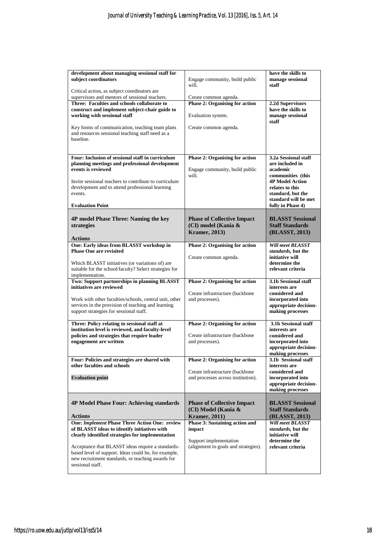| development about managing sessional staff for                                                      |                                                    |                                                 |
|-----------------------------------------------------------------------------------------------------|----------------------------------------------------|-------------------------------------------------|
| subject coordinators                                                                                | Engage community, build public<br>will.            | have the skills to<br>manage sessional<br>staff |
| Critical action, as subject coordinators are                                                        |                                                    |                                                 |
| supervisors and mentors of sessional teachers.                                                      | Create common agenda.                              |                                                 |
| Three: Faculties and schools collaborate to                                                         | <b>Phase 2: Organising for action</b>              | 2.2d Supervisors                                |
| construct and implement subject-chair guide to<br>working with sessional staff                      | Evaluation system.                                 | have the skills to<br>manage sessional<br>staff |
| Key forms of communication, teaching team plans<br>and resources sessional teaching staff need as a | Create common agenda.                              |                                                 |
| baseline.                                                                                           |                                                    |                                                 |
| Four: Inclusion of sessional staff in curriculum                                                    | Phase 2: Organising for action                     | 3.2a Sessional staff                            |
| planning meetings and professional development                                                      |                                                    | are included in                                 |
| events is reviewed                                                                                  | Engage community, build public<br>will.            | academic<br>communities (this                   |
| Invite sessional teachers to contribute to curriculum                                               |                                                    | <b>4P Model Action</b>                          |
| development and to attend professional learning                                                     |                                                    | relates to this                                 |
| events.                                                                                             |                                                    | standard, but the                               |
|                                                                                                     |                                                    | standard will be met                            |
| <b>Evaluation Point</b>                                                                             |                                                    | fully in Phase 4)                               |
|                                                                                                     |                                                    |                                                 |
| 4P model Phase Three: Naming the key                                                                | <b>Phase of Collective Impact</b>                  | <b>BLASST Sessional</b>                         |
| strategies                                                                                          | (CI) model (Kania &                                | <b>Staff Standards</b>                          |
|                                                                                                     | <b>Kramer</b> , 2013)                              | (BLASST, 2013)                                  |
| <b>Actions</b>                                                                                      |                                                    |                                                 |
| One: Early ideas from BLASST workshop in                                                            | <b>Phase 2: Organising for action</b>              | <b>Will meet BLASST</b>                         |
| <b>Phase One are revisited</b>                                                                      |                                                    | standards, but the                              |
|                                                                                                     | Create common agenda.                              | initiative will                                 |
| Which BLASST initiatives (or variations of) are                                                     |                                                    | determine the                                   |
| suitable for the school/faculty? Select strategies for                                              |                                                    | relevant criteria                               |
| implementation.                                                                                     |                                                    |                                                 |
| Two: Support partnerships in planning BLASST                                                        | Phase 2: Organising for action                     | 3.1b Sessional staff                            |
| initiatives are reviewed                                                                            |                                                    | interests are<br>considered and                 |
| Work with other faculties/schools, central unit, other                                              | Create infrastructure (backbone<br>and processes). | incorporated into                               |
| services in the provision of teaching and learning                                                  |                                                    | appropriate decision-                           |
|                                                                                                     |                                                    |                                                 |
|                                                                                                     |                                                    |                                                 |
| support strategies for sessional staff.                                                             |                                                    | making processes                                |
| Three: Policy relating to sessional staff at                                                        | <b>Phase 2: Organising for action</b>              | 3.1b Sessional staff                            |
| institution level is reviewed, and faculty-level                                                    |                                                    | interests are                                   |
| policies and strategies that require leader                                                         | Create infrastructure (backbone                    | considered and                                  |
| engagement are written                                                                              | and processes).                                    | incorporated into                               |
|                                                                                                     |                                                    | appropriate decision-                           |
|                                                                                                     |                                                    | making processes                                |
| Four: Policies and strategies are shared with<br>other faculties and schools                        | <b>Phase 2: Organising for action</b>              | 3.1b Sessional staff<br>interests are           |
|                                                                                                     | Create infrastructure (backbone                    | considered and                                  |
| <b>Evaluation point</b>                                                                             | and processes across institution).                 | incorporated into                               |
|                                                                                                     |                                                    | appropriate decision-                           |
|                                                                                                     |                                                    | making processes                                |
|                                                                                                     |                                                    |                                                 |
| <b>4P Model Phase Four: Achieving standards</b>                                                     | <b>Phase of Collective Impact</b>                  | <b>BLASST Sessional</b>                         |
|                                                                                                     | (CI) Model (Kania &                                | <b>Staff Standards</b>                          |
| <b>Actions</b>                                                                                      | <b>Kramer</b> , 2011)                              | (BLASST, 2013)                                  |
| <b>One: Implement Phase Three Action One: review</b>                                                | <b>Phase 3: Sustaining action and</b>              | <b>Will meet BLASST</b>                         |
| of BLASST ideas to identify initiatives with<br>clearly identified strategies for implementation    | impact                                             | standards, but the<br>initiative will           |
|                                                                                                     | Support implementation                             | determine the                                   |
| Acceptance that BLASST ideas require a standards-                                                   | (alignment to goals and strategies).               | relevant criteria                               |
| based level of support. Ideas could be, for example,                                                |                                                    |                                                 |
| new recruitment standards, or teaching awards for                                                   |                                                    |                                                 |
| sessional staff.                                                                                    |                                                    |                                                 |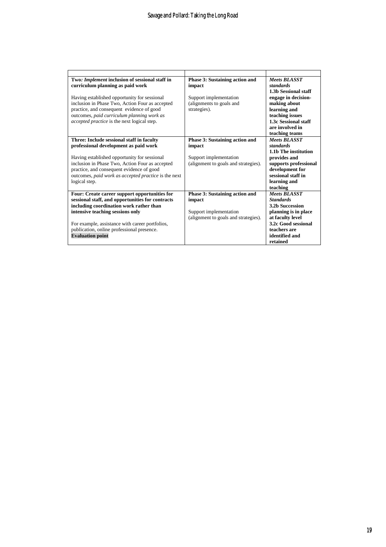| Two: Implement inclusion of sessional staff in       | Phase 3: Sustaining action and       | Meets BLASST                          |
|------------------------------------------------------|--------------------------------------|---------------------------------------|
| curriculum planning as paid work                     | impact                               | standards                             |
|                                                      |                                      | 1.3b Sessional staff                  |
| Having established opportunity for sessional         | Support implementation               | engage in decision-                   |
| inclusion in Phase Two, Action Four as accepted      | (alignments to goals and             | making about                          |
| practice, and consequent evidence of good            | strategies).                         | learning and                          |
| outcomes, paid curriculum planning work as           |                                      | teaching issues                       |
| accepted practice is the next logical step.          |                                      | 1.3c Sessional staff                  |
|                                                      |                                      | are involved in                       |
|                                                      |                                      | teaching teams                        |
| Three: Include sessional staff in faculty            | Phase 3: Sustaining action and       | Meets BLASST                          |
| professional development as paid work                | impact                               | standards                             |
|                                                      |                                      | 1.1b The institution                  |
| Having established opportunity for sessional         | Support implementation               | provides and                          |
| inclusion in Phase Two, Action Four as accepted      | (alignment to goals and strategies). |                                       |
| practice, and consequent evidence of good            |                                      | supports professional                 |
|                                                      |                                      | development for<br>sessional staff in |
| outcomes, paid work as accepted practice is the next |                                      |                                       |
| logical step.                                        |                                      | learning and                          |
|                                                      |                                      | teaching                              |
| Four: Create career support opportunities for        | Phase 3: Sustaining action and       | <b>Meets BLASST</b>                   |
| sessional staff, and opportunities for contracts     | impact                               | <b>Standards</b>                      |
| including coordination work rather than              |                                      | <b>3.2b Succession</b>                |
| intensive teaching sessions only                     | Support implementation               | planning is in place                  |
|                                                      | (alignment to goals and strategies). | at faculty level                      |
| For example, assistance with career portfolios,      |                                      | 3.2c Good sessional                   |
| publication, online professional presence.           |                                      | teachers are                          |
| <b>Evaluation point</b>                              |                                      | identified and                        |
|                                                      |                                      | retained                              |